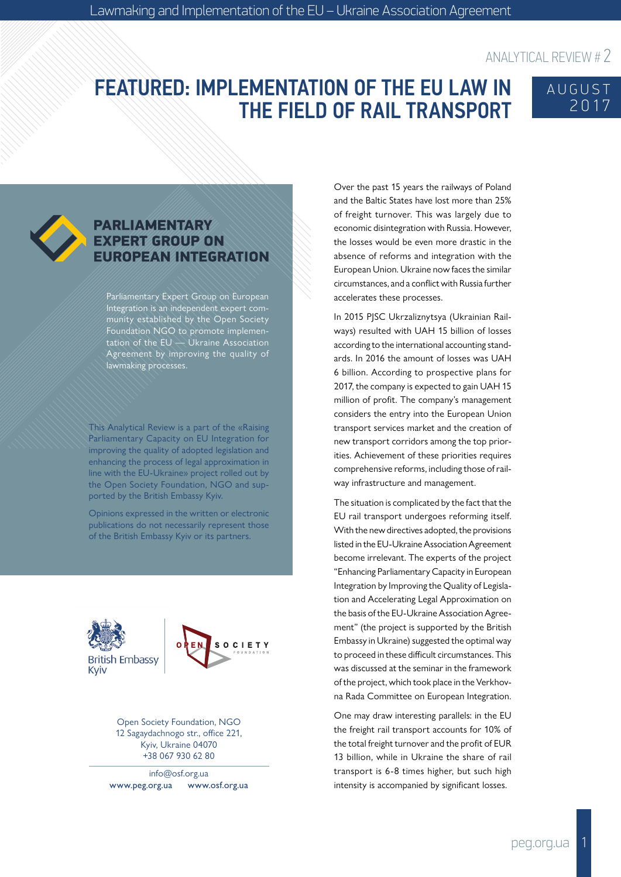# FEATURED: IMPLEMENTATION OF THE EU LAW IN THE FIELD OF RAIL TRANSPORT





#### **PARLIAMENTARY EXPERT GROUP ON ROPEAN INTEGRATION**

Parliamentary Expert Group on European Integration is an independent expert community established by the Open Society Foundation NGO to promote implementation of the EU  $\rightarrow$  Ukraine Association Agreement by improving the quality of lawmaking processes.

This Analytical Review is a part of the «Raising Parliamentary Capacity on EU Integration for improving the quality of adopted legislation and enhancing the process of legal approximation in line with the EU-Ukraine» project rolled out by the Open Society Foundation, NGO and supported by the British Embassy Kyiv.

Opinions expressed in the written or electronic publications do not necessarily represent those of the British Embassy Kyiv or its partners.





Open Society Foundation, NGO 12 Sagaydachnogo str., office 221, Kyiv, Ukraine 04070 +38 067 930 62 80

info@osf.org.ua www.peg.org.ua www.osf.org.ua Over the past 15 years the railways of Poland and the Baltic States have lost more than 25% of freight turnover. This was largely due to economic disintegration with Russia. However, the losses would be even more drastic in the absence of reforms and integration with the European Union. Ukraine now faces the similar circumstances, and a conflict with Russia further accelerates these processes.

In 2015 PJSC Ukrzaliznytsya (Ukrainian Railways) resulted with UAH 15 billion of losses according to the international accounting standards. In 2016 the amount of losses was UAH 6 billion. According to prospective plans for 2017, the company is expected to gain UAH 15 million of profit. The company's management considers the entry into the European Union transport services market and the creation of new transport corridors among the top priorities. Achievement of these priorities requires comprehensive reforms, including those of railway infrastructure and management.

The situation is complicated by the fact that the EU rail transport undergoes reforming itself. With the new directives adopted, the provisions listed in the EU-Ukraine Association Agreement become irrelevant. The experts of the project "Enhancing Parliamentary Capacity in European Integration by Improving the Quality of Legislation and Accelerating Legal Approximation on the basis of the EU-Ukraine Association Agreement" (the project is supported by the British Embassy in Ukraine) suggested the optimal way to proceed in these difficult circumstances. This was discussed at the seminar in the framework of the project, which took place in the Verkhovna Rada Committee on European Integration.

One may draw interesting parallels: in the EU the freight rail transport accounts for 10% of the total freight turnover and the profit of EUR 13 billion, while in Ukraine the share of rail transport is 6-8 times higher, but such high intensity is accompanied by significant losses.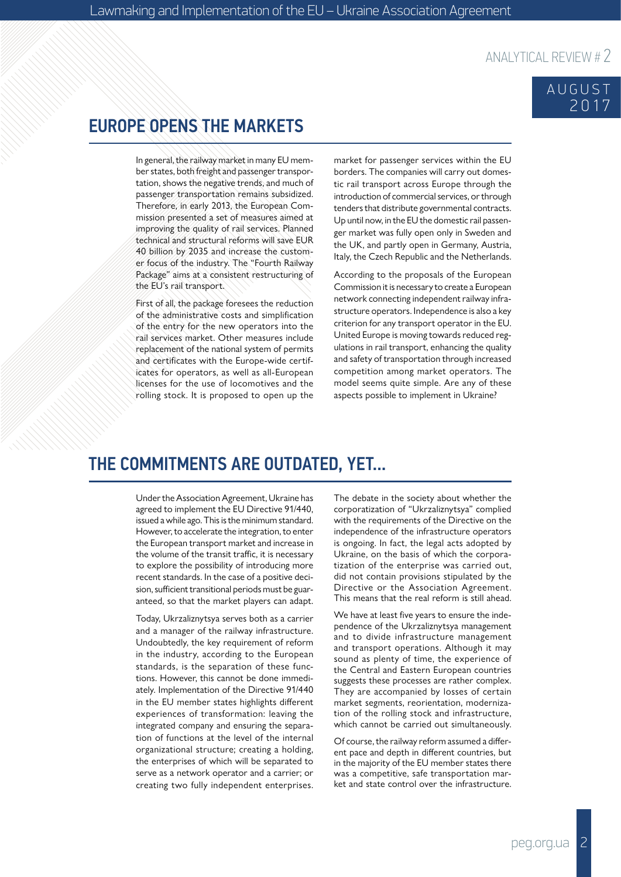#### AUGUST 2017

### EUROPE OPENS THE MARKETS

In general, the railway market in many EU member states, both freight and passenger transportation, shows the negative trends, and much of passenger transportation remains subsidized. Therefore, in early 2013, the European Commission presented a set of measures aimed at improving the quality of rail services. Planned technical and structural reforms will save EUR 40 billion by 2035 and increase the customer focus of the industry. The "Fourth Railway Package" aims at a consistent restructuring of the EU's rail transport.

First of all, the package foresees the reduction of the administrative costs and simplification of the entry for the new operators into the rail services market. Other measures include replacement of the national system of permits and certificates with the Europe-wide certificates for operators, as well as all-European licenses for the use of locomotives and the rolling stock. It is proposed to open up the market for passenger services within the EU borders. The companies will carry out domestic rail transport across Europe through the introduction of commercial services, or through tenders that distribute governmental contracts. Up until now, in the EU the domestic rail passenger market was fully open only in Sweden and the UK, and partly open in Germany, Austria, Italy, the Czech Republic and the Netherlands.

According to the proposals of the European Commission it is necessary to create a European network connecting independent railway infrastructure operators. Independence is also a key criterion for any transport operator in the EU. United Europe is moving towards reduced regulations in rail transport, enhancing the quality and safety of transportation through increased competition among market operators. The model seems quite simple. Are any of these aspects possible to implement in Ukraine?

#### THE COMMITMENTS ARE OUTDATED, YET...

Under the Association Agreement, Ukraine has agreed to implement the EU Directive 91/440, issued a while ago. This is the minimum standard. However, to accelerate the integration, to enter the European transport market and increase in the volume of the transit traffic, it is necessary to explore the possibility of introducing more recent standards. In the case of a positive decision, sufficient transitional periods must be guaranteed, so that the market players can adapt.

Today, Ukrzaliznytsya serves both as a carrier and a manager of the railway infrastructure. Undoubtedly, the key requirement of reform in the industry, according to the European standards, is the separation of these functions. However, this cannot be done immediately. Implementation of the Directive 91/440 in the EU member states highlights different experiences of transformation: leaving the integrated company and ensuring the separation of functions at the level of the internal organizational structure; creating a holding, the enterprises of which will be separated to serve as a network operator and a carrier; or creating two fully independent enterprises. The debate in the society about whether the corporatization of "Ukrzaliznytsya" complied with the requirements of the Directive on the independence of the infrastructure operators is ongoing. In fact, the legal acts adopted by Ukraine, on the basis of which the corporatization of the enterprise was carried out, did not contain provisions stipulated by the Directive or the Association Agreement. This means that the real reform is still ahead.

We have at least five years to ensure the independence of the Ukrzaliznytsya management and to divide infrastructure management and transport operations. Although it may sound as plenty of time, the experience of the Central and Eastern European countries suggests these processes are rather complex. They are accompanied by losses of certain market segments, reorientation, modernization of the rolling stock and infrastructure, which cannot be carried out simultaneously.

Of course, the railway reform assumed a different pace and depth in different countries, but in the majority of the EU member states there was a competitive, safe transportation market and state control over the infrastructure.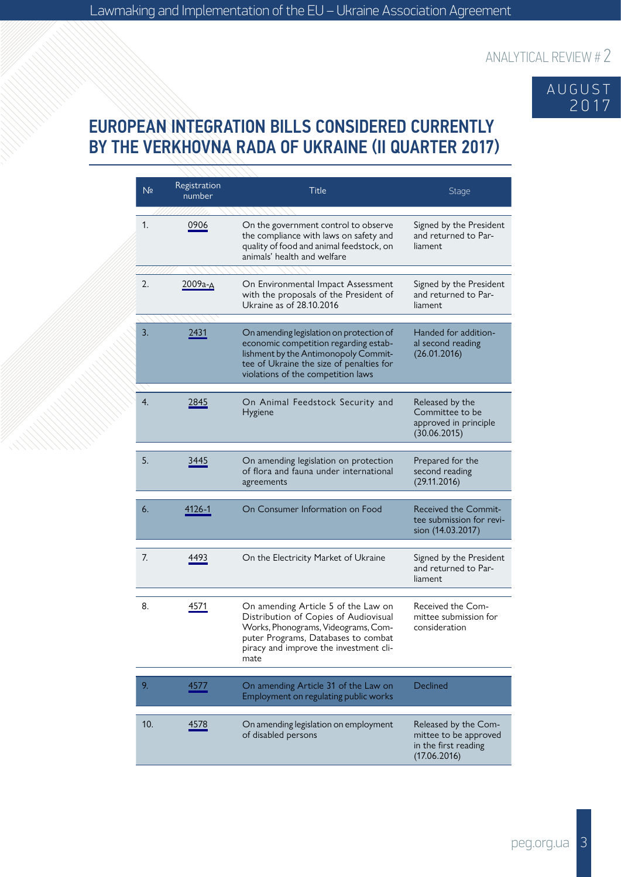

## EUROPEAN INTEGRATION BILLS CONSIDERED CURRENTLY BY THE VERKHOVNA RADA OF UKRAINE (II QUARTER 2017)

| N <sub>2</sub> | Registration<br>number | <b>Title</b>                                                                                                                                                                                                 | Stage                                                                                 |
|----------------|------------------------|--------------------------------------------------------------------------------------------------------------------------------------------------------------------------------------------------------------|---------------------------------------------------------------------------------------|
| 1.             | 0906                   | On the government control to observe<br>the compliance with laws on safety and<br>quality of food and animal feedstock, on<br>animals' health and welfare                                                    | Signed by the President<br>and returned to Par-<br>liament                            |
| 2.             | 2009а-д                | On Environmental Impact Assessment<br>with the proposals of the President of<br>Ukraine as of 28.10.2016                                                                                                     | Signed by the President<br>and returned to Par-<br>liament                            |
| 3.             | 2431                   | On amending legislation on protection of<br>economic competition regarding estab-<br>lishment by the Antimonopoly Commit-<br>tee of Ukraine the size of penalties for<br>violations of the competition laws  | Handed for addition-<br>al second reading<br>(26.01.2016)                             |
| 4.             | 2845                   | On Animal Feedstock Security and<br>Hygiene                                                                                                                                                                  | Released by the<br>Committee to be<br>approved in principle<br>(30.06.2015)           |
| 5.             | 3445                   | On amending legislation on protection<br>of flora and fauna under international<br>agreements                                                                                                                | Prepared for the<br>second reading<br>(29.11.2016)                                    |
| 6.             | 4126-1                 | On Consumer Information on Food                                                                                                                                                                              | Received the Commit-<br>tee submission for revi-<br>sion (14.03.2017)                 |
| 7.             | 4493                   | On the Electricity Market of Ukraine                                                                                                                                                                         | Signed by the President<br>and returned to Par-<br>liament                            |
| 8.             | 4571                   | On amending Article 5 of the Law on<br>Distribution of Copies of Audiovisual<br>Works, Phonograms, Videograms, Com-<br>puter Programs, Databases to combat<br>piracy and improve the investment cli-<br>mate | Received the Com-<br>mittee submission for<br>consideration                           |
| 9.             | 4577                   | On amending Article 31 of the Law on<br>Employment on regulating public works                                                                                                                                | Declined                                                                              |
| 10.            | 4578                   | On amending legislation on employment<br>of disabled persons                                                                                                                                                 | Released by the Com-<br>mittee to be approved<br>in the first reading<br>(17.06.2016) |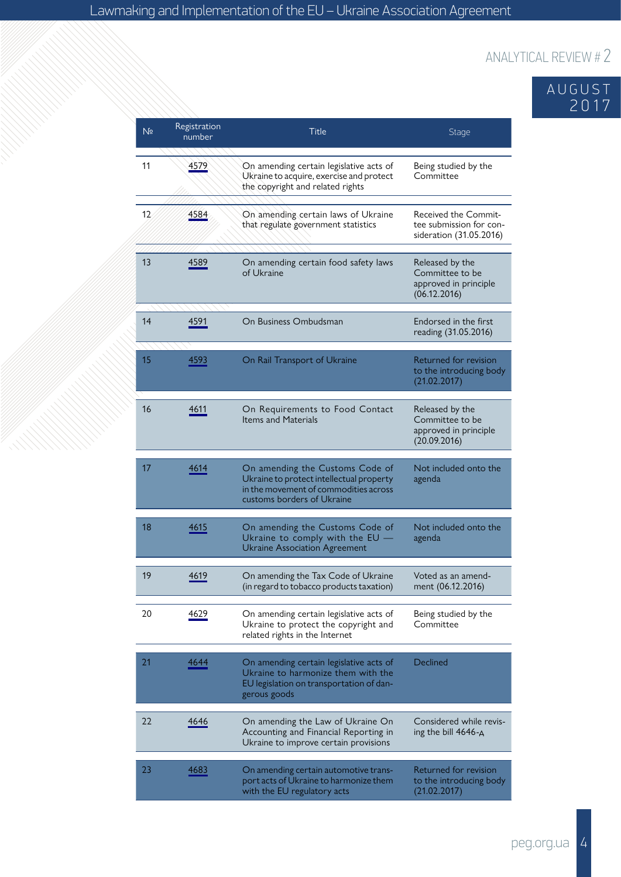## AUGUST 2017

| N <sub>2</sub> | Registration<br>number | Title                                                                                                                                              | <b>Stage</b>                                                                      |
|----------------|------------------------|----------------------------------------------------------------------------------------------------------------------------------------------------|-----------------------------------------------------------------------------------|
| 11             | 4579                   | On amending certain legislative acts of<br>Ukraine to acquire, exercise and protect<br>the copyright and related rights                            | Being studied by the<br>Committee                                                 |
| 12             | 4584                   | On amending certain laws of Ukraine<br>that regulate government statistics                                                                         | <b>Received the Commit-</b><br>tee submission for con-<br>sideration (31.05.2016) |
| 13             | 4589                   | On amending certain food safety laws<br>of Ukraine                                                                                                 | Released by the<br>Committee to be<br>approved in principle<br>(06.12.2016)       |
| 14             | 4591                   | On Business Ombudsman                                                                                                                              | Endorsed in the first<br>reading (31.05.2016)                                     |
| 15             | 4593                   | On Rail Transport of Ukraine                                                                                                                       | Returned for revision<br>to the introducing body<br>(21.02.2017)                  |
| 16             | 4611                   | On Requirements to Food Contact<br><b>Items and Materials</b>                                                                                      | Released by the<br>Committee to be<br>approved in principle<br>(20.09.2016)       |
| 17             | 4614                   | On amending the Customs Code of<br>Ukraine to protect intellectual property<br>in the movement of commodities across<br>customs borders of Ukraine | Not included onto the<br>agenda                                                   |
| 18             | 4615                   | On amending the Customs Code of<br>Ukraine to comply with the EU -<br><b>Ukraine Association Agreement</b>                                         | Not included onto the<br>agenda                                                   |
| 19             | 4619                   | On amending the Tax Code of Ukraine<br>(in regard to tobacco products taxation)                                                                    | Voted as an amend-<br>ment (06.12.2016)                                           |
| 20             | 4629                   | On amending certain legislative acts of<br>Ukraine to protect the copyright and<br>related rights in the Internet                                  | Being studied by the<br>Committee                                                 |
| 21             | 4644                   | On amending certain legislative acts of<br>Ukraine to harmonize them with the<br>EU legislation on transportation of dan-<br>gerous goods          | Declined                                                                          |
| 22             | 4646                   | On amending the Law of Ukraine On<br>Accounting and Financial Reporting in<br>Ukraine to improve certain provisions                                | Considered while revis-<br>ing the bill 4646-A                                    |
| 23             | 4683                   | On amending certain automotive trans-<br>port acts of Ukraine to harmonize them<br>with the EU regulatory acts                                     | Returned for revision<br>to the introducing body<br>(21.02.2017)                  |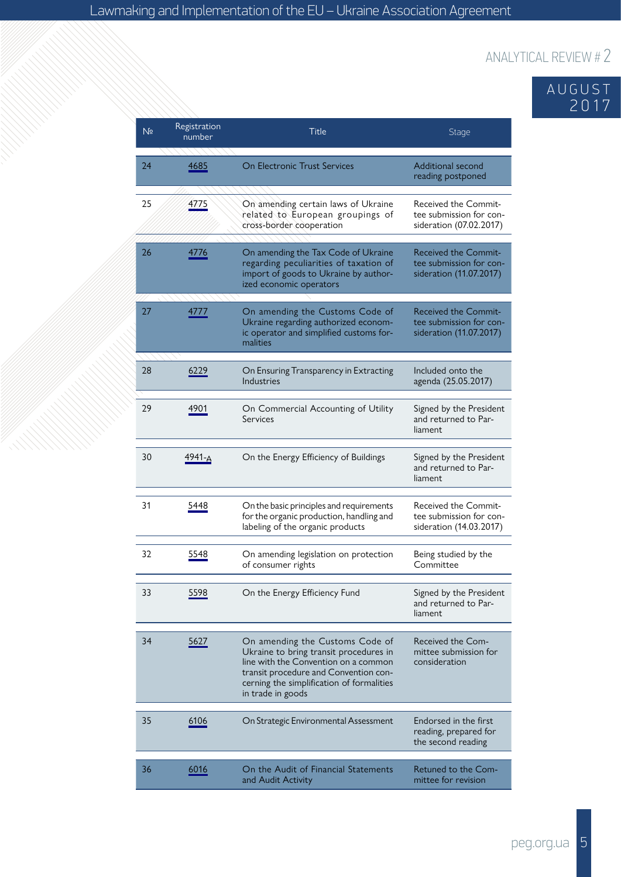### AUGUST 2017

| Nº | Registration<br>number | Title                                                                                                                                                                                                                        | <b>Stage</b>                                                                      |
|----|------------------------|------------------------------------------------------------------------------------------------------------------------------------------------------------------------------------------------------------------------------|-----------------------------------------------------------------------------------|
| 24 | 4685                   | <b>On Electronic Trust Services</b>                                                                                                                                                                                          | Additional second<br>reading postponed                                            |
| 25 | 4775                   | On amending certain laws of Ukraine<br>related to European groupings of<br>cross-border cooperation                                                                                                                          | <b>Received the Commit-</b><br>tee submission for con-<br>sideration (07.02.2017) |
| 26 | 4776                   | On amending the Tax Code of Ukraine<br>regarding peculiarities of taxation of<br>import of goods to Ukraine by author-<br>ized economic operators                                                                            | <b>Received the Commit-</b><br>tee submission for con-<br>sideration (11.07.2017) |
| 27 | 4777                   | On amending the Customs Code of<br>Ukraine regarding authorized econom-<br>ic operator and simplified customs for-<br>malities                                                                                               | <b>Received the Commit-</b><br>tee submission for con-<br>sideration (11.07.2017) |
| 28 | 6229                   | On Ensuring Transparency in Extracting<br>Industries                                                                                                                                                                         | Included onto the<br>agenda (25.05.2017)                                          |
| 29 | 4901                   | On Commercial Accounting of Utility<br><b>Services</b>                                                                                                                                                                       | Signed by the President<br>and returned to Par-<br>liament                        |
| 30 | 4941-A                 | On the Energy Efficiency of Buildings                                                                                                                                                                                        | Signed by the President<br>and returned to Par-<br>liament                        |
| 31 | 5448                   | On the basic principles and requirements<br>for the organic production, handling and<br>labeling of the organic products                                                                                                     | Received the Commit-<br>tee submission for con-<br>sideration (14.03.2017)        |
| 32 | 5548                   | On amending legislation on protection<br>of consumer rights                                                                                                                                                                  | Being studied by the<br>Committee                                                 |
| 33 | 5598                   | On the Energy Efficiency Fund                                                                                                                                                                                                | Signed by the President<br>and returned to Par-<br>liament                        |
| 34 | 5627                   | On amending the Customs Code of<br>Ukraine to bring transit procedures in<br>line with the Convention on a common<br>transit procedure and Convention con-<br>cerning the simplification of formalities<br>in trade in goods | Received the Com-<br>mittee submission for<br>consideration                       |
| 35 | 6106                   | On Strategic Environmental Assessment                                                                                                                                                                                        | Endorsed in the first<br>reading, prepared for<br>the second reading              |
| 36 | 6016                   | On the Audit of Financial Statements                                                                                                                                                                                         | Retuned to the Com-                                                               |
|    |                        | and Audit Activity                                                                                                                                                                                                           | mittee for revision                                                               |